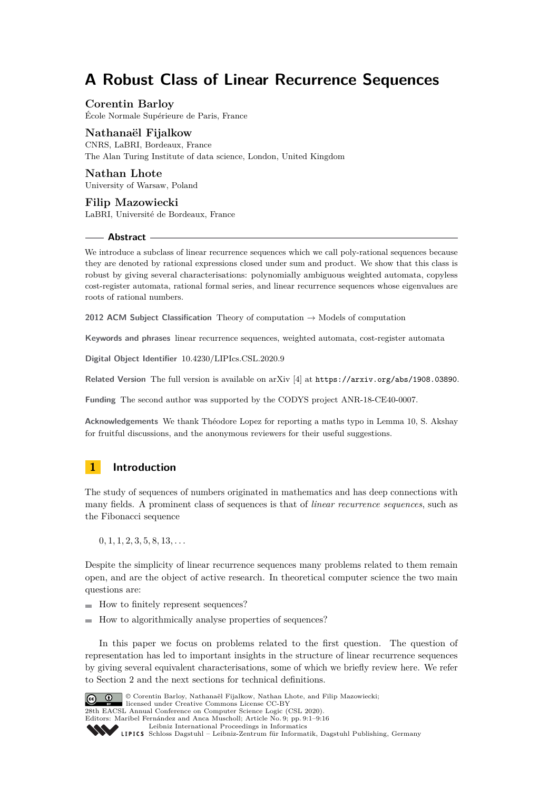# **A Robust Class of Linear Recurrence Sequences**

# **Corentin Barloy**

École Normale Supérieure de Paris, France

### **Nathanaël Fijalkow**

CNRS, LaBRI, Bordeaux, France The Alan Turing Institute of data science, London, United Kingdom

**Nathan Lhote** University of Warsaw, Poland

**Filip Mazowiecki** LaBRI, Université de Bordeaux, France

### **Abstract**

We introduce a subclass of linear recurrence sequences which we call poly-rational sequences because they are denoted by rational expressions closed under sum and product. We show that this class is robust by giving several characterisations: polynomially ambiguous weighted automata, copyless cost-register automata, rational formal series, and linear recurrence sequences whose eigenvalues are roots of rational numbers.

**2012 ACM Subject Classification** Theory of computation → Models of computation

**Keywords and phrases** linear recurrence sequences, weighted automata, cost-register automata

**Digital Object Identifier** [10.4230/LIPIcs.CSL.2020.9](https://doi.org/10.4230/LIPIcs.CSL.2020.9)

**Related Version** The full version is available on arXiv [\[4\]](#page-14-0) at <https://arxiv.org/abs/1908.03890>.

**Funding** The second author was supported by the CODYS project ANR-18-CE40-0007.

**Acknowledgements** We thank Théodore Lopez for reporting a maths typo in Lemma [10,](#page-8-0) S. Akshay for fruitful discussions, and the anonymous reviewers for their useful suggestions.

# **1 Introduction**

The study of sequences of numbers originated in mathematics and has deep connections with many fields. A prominent class of sequences is that of *linear recurrence sequences*, such as the Fibonacci sequence

0*,* 1*,* 1*,* 2*,* 3*,* 5*,* 8*,* 13*, . . .*

Despite the simplicity of linear recurrence sequences many problems related to them remain open, and are the object of active research. In theoretical computer science the two main questions are:

How to finitely represent sequences?

 $\blacksquare$  How to algorithmically analyse properties of sequences?

In this paper we focus on problems related to the first question. The question of representation has led to important insights in the structure of linear recurrence sequences by giving several equivalent characterisations, some of which we briefly review here. We refer to Section [2](#page-2-0) and the next sections for technical definitions.



© Corentin Barloy, Nathanaël Fijalkow, Nathan Lhote, and Filip Mazowiecki;

licensed under Creative Commons License CC-BY 28th EACSL Annual Conference on Computer Science Logic (CSL 2020).

Editors: Maribel Fernández and Anca Muscholl; Article No. 9; pp. 9:1–9[:16](#page-15-0)

[Leibniz International Proceedings in Informatics](https://www.dagstuhl.de/lipics/)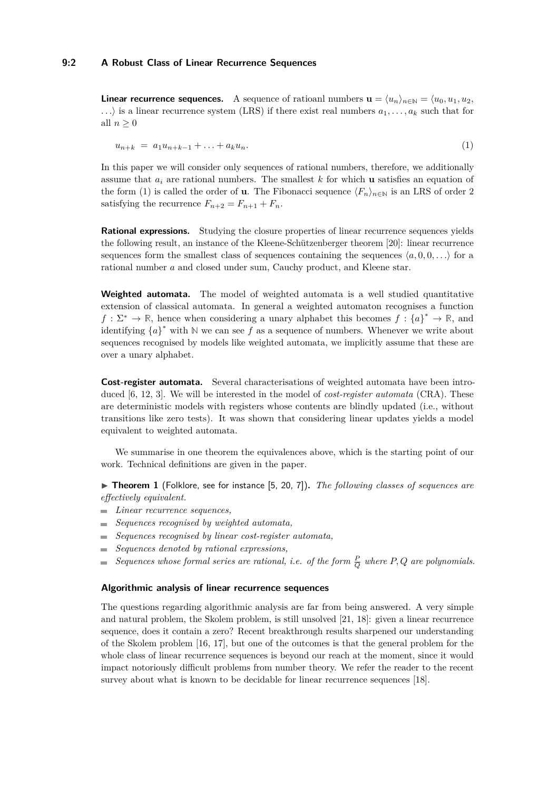**Linear recurrence sequences.** A sequence of rational numbers  $\mathbf{u} = \langle u_n \rangle_{n \in \mathbb{N}} = \langle u_0, u_1, u_2, u_3 \rangle$  $\ldots$  is a linear recurrence system (LRS) if there exist real numbers  $a_1, \ldots, a_k$  such that for all  $n \geq 0$ 

<span id="page-1-0"></span>
$$
u_{n+k} = a_1 u_{n+k-1} + \ldots + a_k u_n. \tag{1}
$$

In this paper we will consider only sequences of rational numbers, therefore, we additionally assume that *a<sup>i</sup>* are rational numbers. The smallest *k* for which **u** satisfies an equation of the form [\(1\)](#page-1-0) is called the order of **u**. The Fibonacci sequence  $\langle F_n \rangle_{n \in \mathbb{N}}$  is an LRS of order 2 satisfying the recurrence  $F_{n+2} = F_{n+1} + F_n$ .

Rational expressions. Studying the closure properties of linear recurrence sequences yields the following result, an instance of the Kleene-Schützenberger theorem [\[20\]](#page-15-1): linear recurrence sequences form the smallest class of sequences containing the sequences  $\langle a, 0, 0, \ldots \rangle$  for a rational number *a* and closed under sum, Cauchy product, and Kleene star.

**Weighted automata.** The model of weighted automata is a well studied quantitative extension of classical automata. In general a weighted automaton recognises a function  $f: \Sigma^* \to \mathbb{R}$ , hence when considering a unary alphabet this becomes  $f: \{a\}^* \to \mathbb{R}$ , and identifying  ${a}^*$  with N we can see f as a sequence of numbers. Whenever we write about sequences recognised by models like weighted automata, we implicitly assume that these are over a unary alphabet.

**Cost-register automata.** Several characterisations of weighted automata have been introduced [\[6,](#page-14-1) [12,](#page-14-2) [3\]](#page-14-3). We will be interested in the model of *cost-register automata* (CRA). These are deterministic models with registers whose contents are blindly updated (i.e., without transitions like zero tests). It was shown that considering linear updates yields a model equivalent to weighted automata.

We summarise in one theorem the equivalences above, which is the starting point of our work. Technical definitions are given in the paper.

<span id="page-1-1"></span>▶ Theorem 1 (Folklore, see for instance [\[5,](#page-14-4) [20,](#page-15-1) [7\]](#page-14-5)). *The following classes of sequences are effectively equivalent.*

- *Linear recurrence sequences,*
- *Sequences recognised by weighted automata,*
- *Sequences recognised by linear cost-register automata,*
- *Sequences denoted by rational expressions,*  $\mathcal{L}_{\mathcal{A}}$
- *Sequences whose formal series are rational, i.e. of the form*  $\frac{P}{Q}$  where  $P, Q$  are polynomials.  $\overline{a}$

### **Algorithmic analysis of linear recurrence sequences**

The questions regarding algorithmic analysis are far from being answered. A very simple and natural problem, the Skolem problem, is still unsolved [\[21,](#page-15-2) [18\]](#page-15-3): given a linear recurrence sequence, does it contain a zero? Recent breakthrough results sharpened our understanding of the Skolem problem [\[16,](#page-14-6) [17\]](#page-15-4), but one of the outcomes is that the general problem for the whole class of linear recurrence sequences is beyond our reach at the moment, since it would impact notoriously difficult problems from number theory. We refer the reader to the recent survey about what is known to be decidable for linear recurrence sequences [\[18\]](#page-15-3).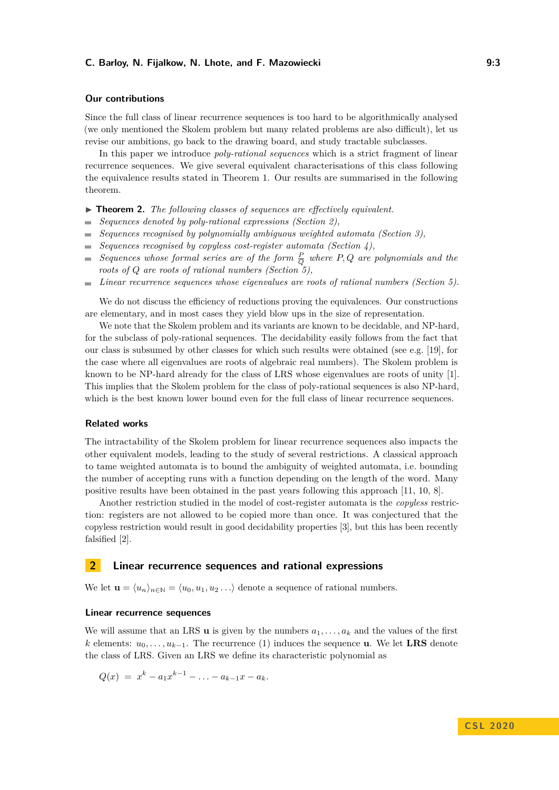### **Our contributions**

Since the full class of linear recurrence sequences is too hard to be algorithmically analysed (we only mentioned the Skolem problem but many related problems are also difficult), let us revise our ambitions, go back to the drawing board, and study tractable subclasses.

In this paper we introduce *poly-rational sequences* which is a strict fragment of linear recurrence sequences. We give several equivalent characterisations of this class following the equivalence results stated in Theorem [1.](#page-1-1) Our results are summarised in the following theorem.

- ▶ **Theorem 2.** *The following classes of sequences are effectively equivalent.*
- *Sequences denoted by poly-rational expressions (Section [2\)](#page-2-0),*  $\sim$
- *Sequences recognised by polynomially ambiguous weighted automata (Section [3\)](#page-4-0),*  $\overline{a}$
- *Sequences recognised by copyless cost-register automata (Section [4\)](#page-10-0),* m.
- *Sequences whose formal series are of the form*  $\frac{P}{Q}$  *where*  $P, Q$  *are polynomials and the*  $\sim$ *roots of Q are roots of rational numbers (Section [5\)](#page-13-0),*
- *Linear recurrence sequences whose eigenvalues are roots of rational numbers (Section [5\)](#page-13-0).*  $\overline{\phantom{a}}$

We do not discuss the efficiency of reductions proving the equivalences. Our constructions are elementary, and in most cases they yield blow ups in the size of representation.

We note that the Skolem problem and its variants are known to be decidable, and NP-hard. for the subclass of poly-rational sequences. The decidability easily follows from the fact that our class is subsumed by other classes for which such results were obtained (see e.g. [\[19\]](#page-15-5), for the case where all eigenvalues are roots of algebraic real numbers). The Skolem problem is known to be NP-hard already for the class of LRS whose eigenvalues are roots of unity [\[1\]](#page-14-7). This implies that the Skolem problem for the class of poly-rational sequences is also NP-hard, which is the best known lower bound even for the full class of linear recurrence sequences.

#### **Related works**

The intractability of the Skolem problem for linear recurrence sequences also impacts the other equivalent models, leading to the study of several restrictions. A classical approach to tame weighted automata is to bound the ambiguity of weighted automata, i.e. bounding the number of accepting runs with a function depending on the length of the word. Many positive results have been obtained in the past years following this approach [\[11,](#page-14-8) [10,](#page-14-9) [8\]](#page-14-10).

Another restriction studied in the model of cost-register automata is the *copyless* restriction: registers are not allowed to be copied more than once. It was conjectured that the copyless restriction would result in good decidability properties [\[3\]](#page-14-3), but this has been recently falsified [\[2\]](#page-14-11).

### <span id="page-2-0"></span>**2 Linear recurrence sequences and rational expressions**

We let  $\mathbf{u} = \langle u_n \rangle_{n \in \mathbb{N}} = \langle u_0, u_1, u_2 \dots \rangle$  denote a sequence of rational numbers.

### **Linear recurrence sequences**

We will assume that an LRS **u** is given by the numbers  $a_1, \ldots, a_k$  and the values of the first *k* elements:  $u_0, \ldots, u_{k-1}$ . The recurrence [\(1\)](#page-1-0) induces the sequence **u**. We let **LRS** denote the class of LRS. Given an LRS we define its characteristic polynomial as

$$
Q(x) = x^{k} - a_1 x^{k-1} - \ldots - a_{k-1} x - a_k.
$$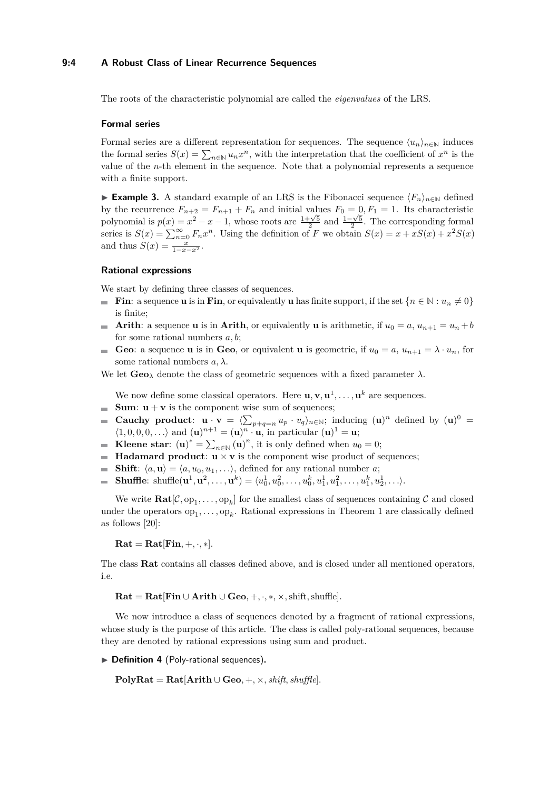### **9:4 A Robust Class of Linear Recurrence Sequences**

The roots of the characteristic polynomial are called the *eigenvalues* of the LRS.

### **Formal series**

Formal series are a different representation for sequences. The sequence  $\langle u_n \rangle_{n \in \mathbb{N}}$  induces the formal series  $S(x) = \sum_{n \in \mathbb{N}} u_n x^n$ , with the interpretation that the coefficient of  $x^n$  is the value of the *n*-th element in the sequence. Note that a polynomial represents a sequence with a finite support.

<span id="page-3-0"></span>**► Example 3.** A standard example of an LRS is the Fibonacci sequence  $\langle F_n \rangle_{n \in \mathbb{N}}$  defined by the recurrence  $F_{n+2} = F_{n+1} + F_n$  and initial values  $F_0 = 0, F_1 = 1$ . Its characteristic by the recurrence  $r_{n+2} = r_{n+1} + r_n$  and initial values  $r_0 = 0, r_1 = 1$ . Its characteristic polynomial is  $p(x) = x^2 - x - 1$ , whose roots are  $\frac{1+\sqrt{5}}{2}$  and  $\frac{1-\sqrt{5}}{2}$ . The corresponding formal series is  $S(x) = \sum_{n=0}^{\infty} F_n x^n$ . Using the definition of *F* we obtain  $S(x) = x + xS(x) + x^2S(x)$ and thus  $S(x) = \frac{x}{1 - x - x^2}$ .

### **Rational expressions**

We start by defining three classes of sequences.

- **Fin**: a sequence **u** is in **Fin**, or equivalently **u** has finite support, if the set  $\{n \in \mathbb{N} : u_n \neq 0\}$ is finite;
- **Arith**: a sequence **u** is in **Arith**, or equivalently **u** is arithmetic, if  $u_0 = a$ ,  $u_{n+1} = u_n + b$  $\overline{a}$ for some rational numbers *a, b*;
- **Geo**: a sequence **u** is in **Geo**, or equivalent **u** is geometric, if  $u_0 = a$ ,  $u_{n+1} = \lambda \cdot u_n$ , for some rational numbers *a, λ*.

We let  $\mathbf{Geo}_{\lambda}$  denote the class of geometric sequences with a fixed parameter  $\lambda$ .

We now define some classical operators. Here  $\mathbf{u}, \mathbf{v}, \mathbf{u}^1, \ldots, \mathbf{u}^k$  are sequences.

- **Sum:**  $u + v$  is the component wise sum of sequences;
- **Cauchy product:**  $\mathbf{u} \cdot \mathbf{v} = \langle \sum_{p+q=n} u_p \cdot v_q \rangle_{n \in \mathbb{N}}$ ; inducing  $(\mathbf{u})^n$  defined by  $(\mathbf{u})^0 =$  $\langle 1, 0, 0, 0, \ldots \rangle$  and  $(\mathbf{u})^{n+1} = (\mathbf{u})^n \cdot \mathbf{u}$ , in particular  $(\mathbf{u})^1 = \mathbf{u}$ ;
- **Kleene star:**  $(\mathbf{u})^* = \sum_{n \in \mathbb{N}} (\mathbf{u})^n$ , it is only defined when  $u_0 = 0$ ;
- **Hadamard product:**  $\mathbf{u} \times \mathbf{v}$  is the component wise product of sequences;  $\mathcal{L}_{\mathcal{A}}$
- **Shift**:  $\langle a, \mathbf{u} \rangle = \langle a, u_0, u_1, \ldots \rangle$ , defined for any rational number *a*; m.
- **Shuffle**: shuffle( $\mathbf{u}^1, \mathbf{u}^2, \dots, \mathbf{u}^k$ ) =  $\langle u_0^1, u_0^2, \dots, u_0^k, u_1^1, u_1^2, \dots, u_1^k, u_2^1, \dots \rangle$ .  $\overline{\phantom{a}}$

We write  $\text{Rat}[\mathcal{C}, \text{op}_1, \ldots, \text{op}_k]$  for the smallest class of sequences containing  $\mathcal{C}$  and closed under the operators  $op_1, \ldots, op_k$ . Rational expressions in Theorem [1](#page-1-1) are classically defined as follows [\[20\]](#page-15-1):

 $\textbf{Rat} = \textbf{Rat}[\textbf{Fin}, +, \cdot, *].$ 

The class **Rat** contains all classes defined above, and is closed under all mentioned operators, i.e.

 $\textbf{Rat} = \textbf{Rat}[\textbf{Fin} \cup \textbf{Arith} \cup \textbf{Geo}, +, \cdot, *, \times, \text{shift}, \text{shuffle}].$ 

We now introduce a class of sequences denoted by a fragment of rational expressions, whose study is the purpose of this article. The class is called poly-rational sequences, because they are denoted by rational expressions using sum and product.

▶ Definition 4 (Poly-rational sequences).

 $\text{PolyRat} = \text{Rat}[\text{Arith} \cup \text{Geo}, +, \times, \text{shift}, \text{shuffle}].$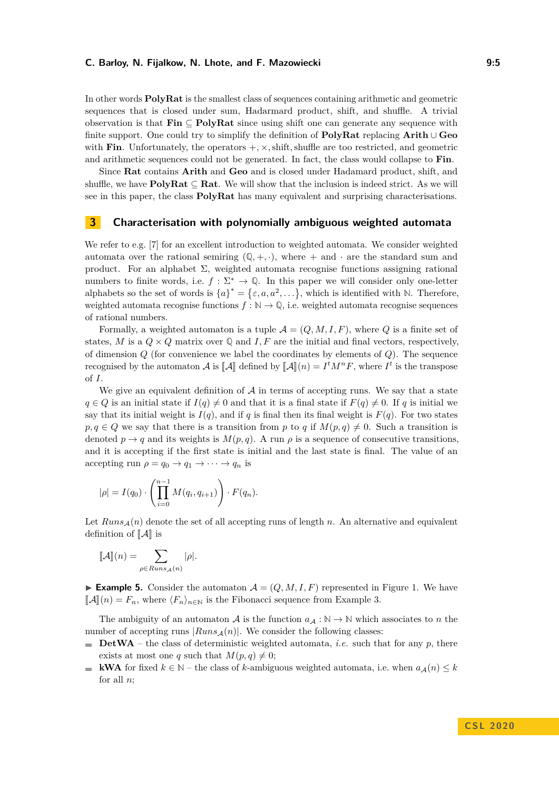In other words **PolyRat** is the smallest class of sequences containing arithmetic and geometric sequences that is closed under sum, Hadarmard product, shift, and shuffle. A trivial observation is that **Fin** ⊆ **PolyRat** since using shift one can generate any sequence with finite support. One could try to simplify the definition of **PolyRat** replacing **Arith** ∪ **Geo** with **Fin**. Unfortunately, the operators  $+$ ,  $\times$ , shift, shuffle are too restricted, and geometric and arithmetic sequences could not be generated. In fact, the class would collapse to **Fin**.

Since **Rat** contains **Arith** and **Geo** and is closed under Hadamard product, shift, and shuffle, we have  $PolyRat \subseteq Rat$ . We will show that the inclusion is indeed strict. As we will see in this paper, the class **PolyRat** has many equivalent and surprising characterisations.

# <span id="page-4-0"></span>**3 Characterisation with polynomially ambiguous weighted automata**

We refer to e.g. [\[7\]](#page-14-5) for an excellent introduction to weighted automata. We consider weighted automata over the rational semiring  $(Q, +, \cdot)$ , where  $+$  and  $\cdot$  are the standard sum and product. For an alphabet  $\Sigma$ , weighted automata recognise functions assigning rational numbers to finite words, i.e.  $f : \Sigma^* \to \mathbb{Q}$ . In this paper we will consider only one-letter alphabets so the set of words is  ${a}^* = {\varepsilon, a, a^2, \ldots}$ , which is identified with N. Therefore, weighted automata recognise functions  $f : \mathbb{N} \to \mathbb{Q}$ , i.e. weighted automata recognise sequences of rational numbers.

Formally, a weighted automaton is a tuple  $\mathcal{A} = (Q, M, I, F)$ , where Q is a finite set of states, *M* is a  $Q \times Q$  matrix over  $Q$  and *I*, *F* are the initial and final vectors, respectively, of dimension *Q* (for convenience we label the coordinates by elements of *Q*). The sequence recognised by the automaton  $\mathcal{A}$  is  $[\![\mathcal{A}]\!]$  defined by  $[\![\mathcal{A}]\!] (n) = I^t M^n F$ , where  $I^t$  is the transpose of *I*.

We give an equivalent definition of  $A$  in terms of accepting runs. We say that a state *q* ∈ *Q* is an initial state if *I*(*q*)  $\neq$  0 and that it is a final state if *F*(*q*)  $\neq$  0. If *q* is initial we say that its initial weight is  $I(q)$ , and if *q* is final then its final weight is  $F(q)$ . For two states  $p, q \in Q$  we say that there is a transition from *p* to *q* if  $M(p,q) \neq 0$ . Such a transition is denoted  $p \rightarrow q$  and its weights is  $M(p,q)$ . A run  $\rho$  is a sequence of consecutive transitions, and it is accepting if the first state is initial and the last state is final. The value of an accepting run  $\rho = q_0 \rightarrow q_1 \rightarrow \cdots \rightarrow q_n$  is

$$
|\rho| = I(q_0) \cdot \left( \prod_{i=0}^{n-1} M(q_i, q_{i+1}) \right) \cdot F(q_n).
$$

Let  $Runs_A(n)$  denote the set of all accepting runs of length *n*. An alternative and equivalent definition of  $\llbracket \mathcal{A} \rrbracket$  is

$$
[\![\mathcal{A}]\!](n) = \sum_{\rho \in \mathit{Runs}_{\mathcal{A}}(n)} |\rho|.
$$

<span id="page-4-1"></span>**Example 5.** Consider the automaton  $A = (Q, M, I, F)$  represented in Figure [1.](#page-5-0) We have  $\llbracket \mathcal{A} \rrbracket(n) = F_n$ , where  $\langle F_n \rangle_{n \in \mathbb{N}}$  is the Fibonacci sequence from Example [3.](#page-3-0)

The ambiguity of an automaton A is the function  $a_A : \mathbb{N} \to \mathbb{N}$  which associates to *n* the number of accepting runs  $|Runs_A(n)|$ . We consider the following classes:

- **DetWA** the class of deterministic weighted automata, *i.e.* such that for any  $p$ , there exists at most one *q* such that  $M(p,q) \neq 0$ ;
- **kWA** for fixed  $k \in \mathbb{N}$  the class of *k*-ambiguous weighted automata, i.e. when  $a_{\mathcal{A}}(n) \leq k$  $\sim$ for all *n*;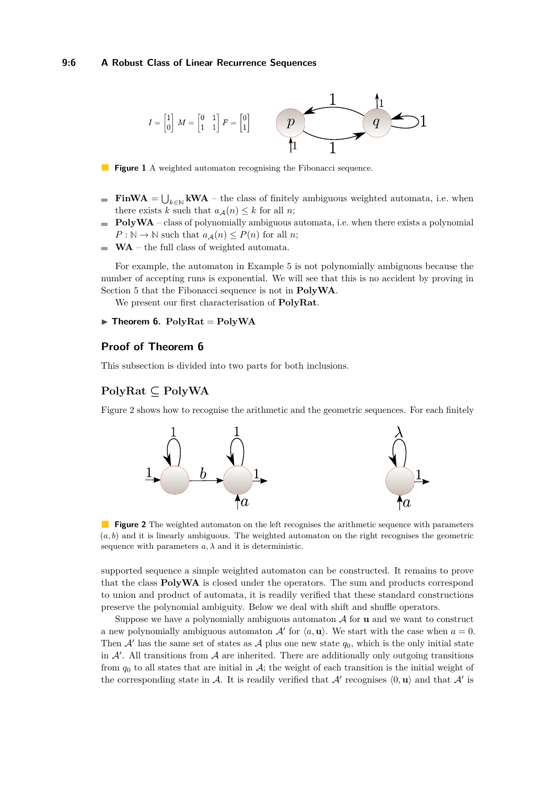### **9:6 A Robust Class of Linear Recurrence Sequences**

<span id="page-5-0"></span>

 $\mathcal{L}_{\mathcal{A}}$ **Figure 1** A weighted automaton recognising the Fibonacci sequence.

- **FinWA** =  $\bigcup_{k \in \mathbb{N}} kWA$  the class of finitely ambiguous weighted automata, i.e. when there exists *k* such that  $a_{\mathcal{A}}(n) \leq k$  for all *n*;
- **PolyWA** class of polynomially ambiguous automata, i.e. when there exists a polynomial  $P : \mathbb{N} \to \mathbb{N}$  such that  $a_{\mathcal{A}}(n) \leq P(n)$  for all *n*;
- **WA** the full class of weighted automata.  $\sim$

For example, the automaton in Example [5](#page-4-1) is not polynomially ambiguous because the number of accepting runs is exponential. We will see that this is no accident by proving in Section [5](#page-13-0) that the Fibonacci sequence is not in **PolyWA**.

We present our first characterisation of **PolyRat**.

### <span id="page-5-1"></span> $\triangleright$  **Theorem 6.** PolyRat =  $PolyWA$

# **Proof of Theorem [6](#page-5-1)**

This subsection is divided into two parts for both inclusions.

# **PolyRat ⊆ PolyWA**

<span id="page-5-2"></span>Figure [2](#page-5-2) shows how to recognise the arithmetic and the geometric sequences. For each finitely



**Figure 2** The weighted automaton on the left recognises the arithmetic sequence with parameters (*a, b*) and it is linearly ambiguous. The weighted automaton on the right recognises the geometric sequence with parameters  $a, \lambda$  and it is deterministic.

supported sequence a simple weighted automaton can be constructed. It remains to prove that the class **PolyWA** is closed under the operators. The sum and products correspond to union and product of automata, it is readily verified that these standard constructions preserve the polynomial ambiguity. Below we deal with shift and shuffle operators.

Suppose we have a polynomially ambiguous automaton A for **u** and we want to construct a new polynomially ambiguous automaton  $A'$  for  $\langle a, \mathbf{u} \rangle$ . We start with the case when  $a = 0$ . Then  $\mathcal{A}'$  has the same set of states as  $\mathcal{A}$  plus one new state  $q_0$ , which is the only initial state in  $A'$ . All transitions from  $A$  are inherited. There are additionally only outgoing transitions from  $q_0$  to all states that are initial in A; the weight of each transition is the initial weight of the corresponding state in A. It is readily verified that  $\mathcal{A}'$  recognises  $\langle 0, \mathbf{u} \rangle$  and that  $\mathcal{A}'$  is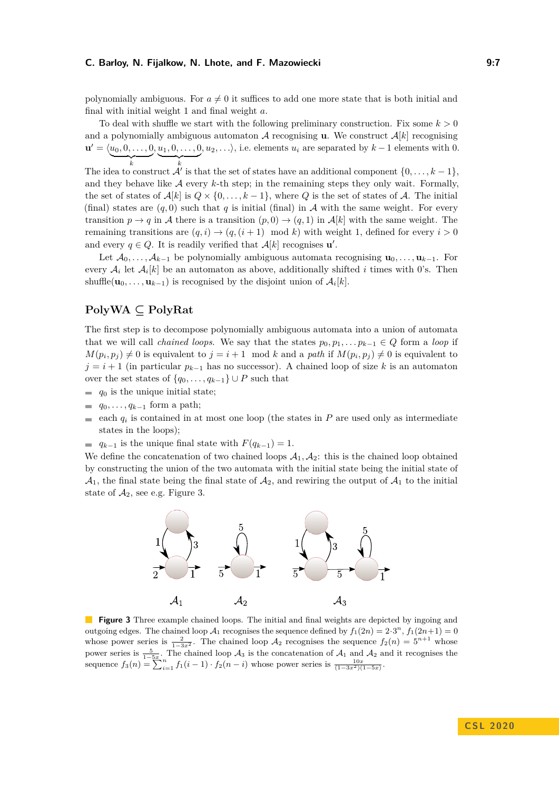polynomially ambiguous. For  $a \neq 0$  it suffices to add one more state that is both initial and final with initial weight 1 and final weight *a*.

To deal with shuffle we start with the following preliminary construction. Fix some  $k > 0$ and a polynomially ambiguous automaton  $A$  recognising **u**. We construct  $A[k]$  recognising  $\mathbf{u}' = \langle u_0, 0, \dots, 0 \rangle$  $\overbrace{\phantom{a}}^k$ The idea to construct  $\mathcal{A}'$  is that the set of states have an additional component  $\{0, \ldots, k-1\}$ ,  $, u_1, 0, \ldots, 0$  $\overbrace{\phantom{a}}^k$ *, u*<sub>2</sub>*,...*), i.e. elements *u<sub>i</sub>* are separated by  $k-1$  elements with 0. and they behave like  $A$  every  $k$ -th step; in the remaining steps they only wait. Formally, the set of states of  $\mathcal{A}[k]$  is  $Q \times \{0, \ldots, k-1\}$ , where *Q* is the set of states of *A*. The initial (final) states are  $(q, 0)$  such that q is initial (final) in A with the same weight. For every transition  $p \to q$  in A there is a transition  $(p, 0) \to (q, 1)$  in  $\mathcal{A}[k]$  with the same weight. The remaining transitions are  $(q, i) \rightarrow (q, (i + 1) \mod k)$  with weight 1, defined for every  $i > 0$ and every  $q \in Q$ . It is readily verified that  $A[k]$  recognises  $\mathbf{u}'$ .

Let  $\mathcal{A}_0, \ldots, \mathcal{A}_{k-1}$  be polynomially ambiguous automata recognising  $\mathbf{u}_0, \ldots, \mathbf{u}_{k-1}$ . For every  $A_i$  let  $A_i[k]$  be an automaton as above, additionally shifted *i* times with 0's. Then shuffle $(\mathbf{u}_0, \ldots, \mathbf{u}_{k-1})$  is recognised by the disjoint union of  $\mathcal{A}_i[k]$ .

# **PolyWA ⊆ PolyRat**

The first step is to decompose polynomially ambiguous automata into a union of automata that we will call *chained loops*. We say that the states  $p_0, p_1, \ldots, p_{k-1} \in Q$  form a *loop* if  $M(p_i, p_j) \neq 0$  is equivalent to  $j = i + 1 \mod k$  and a *path* if  $M(p_i, p_j) \neq 0$  is equivalent to  $j = i + 1$  (in particular  $p_{k-1}$  has no successor). A chained loop of size *k* is an automaton over the set states of  $\{q_0, \ldots, q_{k-1}\} \cup P$  such that

- $q_0$  is the unique initial state;
- $q_0, \ldots, q_{k-1}$  form a path;
- each  $q_i$  is contained in at most one loop (the states in *P* are used only as intermediate states in the loops);
- $q_{k-1}$  is the unique final state with  $F(q_{k-1}) = 1$ .

<span id="page-6-0"></span>We define the concatenation of two chained loops  $A_1, A_2$ : this is the chained loop obtained by constructing the union of the two automata with the initial state being the initial state of  $\mathcal{A}_1$ , the final state being the final state of  $\mathcal{A}_2$ , and rewiring the output of  $\mathcal{A}_1$  to the initial state of  $A_2$ , see e.g. Figure [3.](#page-6-0)



**Figure 3** Three example chained loops. The initial and final weights are depicted by ingoing and outgoing edges. The chained loop  $A_1$  recognises the sequence defined by  $f_1(2n) = 2 \cdot 3^n$ ,  $f_1(2n+1) = 0$ whose power series is  $\frac{2}{1-3x^2}$ . The chained loop  $\mathcal{A}_2$  recognises the sequence  $f_2(n) = 5^{n+1}$  whose power series is  $\frac{5}{1-5x}$ . The chained loop  $\mathcal{A}_3$  is the concatenation of  $\mathcal{A}_1$  and  $\mathcal{A}_2$  and it recognises the sequence  $f_3(n) = \sum_{i=1}^{1-3x} f_1(i-1) \cdot f_2(n-i)$  whose power series is  $\frac{10x}{(1-3x^2)(1-5x)}$ .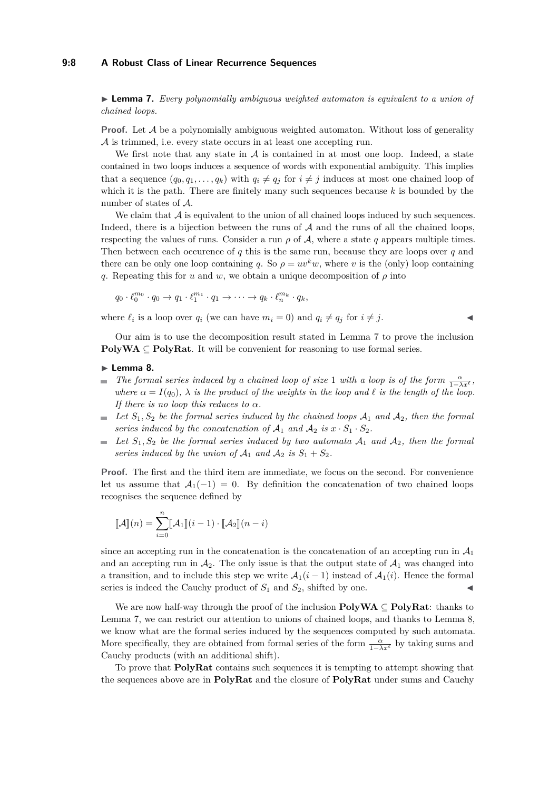### **9:8 A Robust Class of Linear Recurrence Sequences**

<span id="page-7-0"></span>I **Lemma 7.** *Every polynomially ambiguous weighted automaton is equivalent to a union of chained loops.*

**Proof.** Let  $A$  be a polynomially ambiguous weighted automaton. Without loss of generality A is trimmed, i.e. every state occurs in at least one accepting run.

We first note that any state in  $A$  is contained in at most one loop. Indeed, a state contained in two loops induces a sequence of words with exponential ambiguity. This implies that a sequence  $(q_0, q_1, \ldots, q_k)$  with  $q_i \neq q_j$  for  $i \neq j$  induces at most one chained loop of which it is the path. There are finitely many such sequences because *k* is bounded by the number of states of A.

We claim that  $\mathcal A$  is equivalent to the union of all chained loops induced by such sequences. Indeed, there is a bijection between the runs of  $A$  and the runs of all the chained loops, respecting the values of runs. Consider a run  $\rho$  of  $A$ , where a state  $q$  appears multiple times. Then between each occurence of *q* this is the same run, because they are loops over *q* and there can be only one loop containing *q*. So  $\rho = uv^k w$ , where *v* is the (only) loop containing *q*. Repeating this for *u* and *w*, we obtain a unique decomposition of  $\rho$  into

$$
q_0 \cdot \ell_0^{m_0} \cdot q_0 \to q_1 \cdot \ell_1^{m_1} \cdot q_1 \to \cdots \to q_k \cdot \ell_n^{m_k} \cdot q_k,
$$

where  $\ell_i$  is a loop over  $q_i$  (we can have  $m_i = 0$ ) and  $q_i \neq q_j$  for  $i \neq j$ .

$$
\overline{}
$$

Our aim is to use the decomposition result stated in Lemma [7](#page-7-0) to prove the inclusion **PolyWA** ⊆ **PolyRat**. It will be convenient for reasoning to use formal series.

### <span id="page-7-1"></span>► Lemma 8.

- *The formal series induced by a chained loop of size 1 with a loop is of the form*  $\frac{\alpha}{1-\lambda x^{\ell}}$ , *where*  $\alpha = I(q_0)$ ,  $\lambda$  *is the product of the weights in the loop and*  $\ell$  *is the length of the loop. If there is no loop this reduces to*  $\alpha$ *.*
- $\blacktriangleright$  *Let*  $S_1, S_2$  *be the formal series induced by the chained loops*  $A_1$  *and*  $A_2$ *, then the formal series induced by the concatenation of*  $A_1$  *and*  $A_2$  *is*  $x \cdot S_1 \cdot S_2$ *.*
- Let  $S_1, S_2$  be the formal series induced by two automata  $A_1$  and  $A_2$ , then the formal ц. *series induced by the union of*  $A_1$  *and*  $A_2$  *is*  $S_1 + S_2$ *.*

**Proof.** The first and the third item are immediate, we focus on the second. For convenience let us assume that  $A_1(-1) = 0$ . By definition the concatenation of two chained loops recognises the sequence defined by

$$
\llbracket \mathcal{A} \rrbracket(n) = \sum_{i=0}^{n} \llbracket \mathcal{A}_1 \rrbracket(i-1) \cdot \llbracket \mathcal{A}_2 \rrbracket(n-i)
$$

since an accepting run in the concatenation is the concatenation of an accepting run in  $A_1$ and an accepting run in  $A_2$ . The only issue is that the output state of  $A_1$  was changed into a transition, and to include this step we write  $A_1(i-1)$  instead of  $A_1(i)$ . Hence the formal series is indeed the Cauchy product of  $S_1$  and  $S_2$ , shifted by one.

We are now half-way through the proof of the inclusion **PolyWA** ⊆ **PolyRat**: thanks to Lemma [7,](#page-7-0) we can restrict our attention to unions of chained loops, and thanks to Lemma [8,](#page-7-1) we know what are the formal series induced by the sequences computed by such automata. More specifically, they are obtained from formal series of the form  $\frac{\alpha}{1-\lambda x^{\ell}}$  by taking sums and Cauchy products (with an additional shift).

To prove that **PolyRat** contains such sequences it is tempting to attempt showing that the sequences above are in **PolyRat** and the closure of **PolyRat** under sums and Cauchy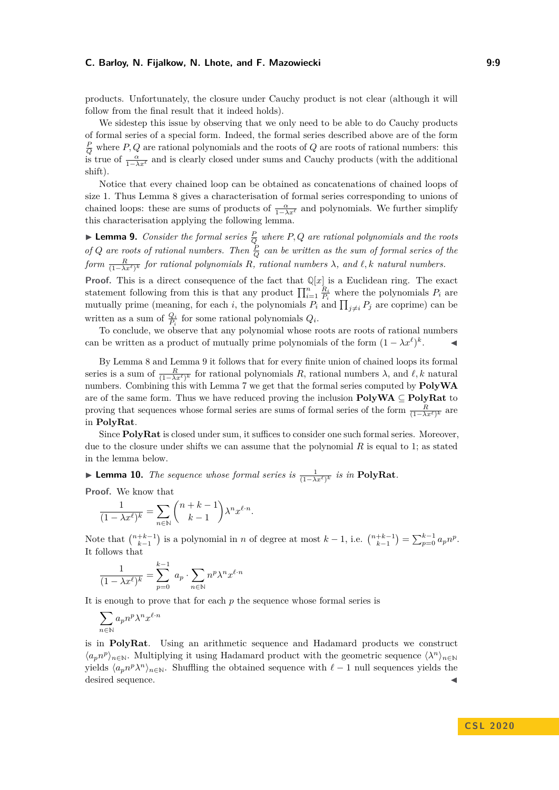products. Unfortunately, the closure under Cauchy product is not clear (although it will follow from the final result that it indeed holds).

We sidestep this issue by observing that we only need to be able to do Cauchy products of formal series of a special form. Indeed, the formal series described above are of the form  $\frac{P}{Q}$  where *P*, *Q* are rational polynomials and the roots of *Q* are roots of rational numbers: this is true of  $\frac{\alpha}{1-\lambda x^{\ell}}$  and is clearly closed under sums and Cauchy products (with the additional shift).

Notice that every chained loop can be obtained as concatenations of chained loops of size 1. Thus Lemma [8](#page-7-1) gives a characterisation of formal series corresponding to unions of chained loops: these are sums of products of  $\frac{\alpha}{1-\lambda x^{\ell}}$  and polynomials. We further simplify this characterisation applying the following lemma.

<span id="page-8-1"></span>**Lemma 9.** *Consider the formal series*  $\frac{P}{Q}$  *where*  $P, Q$  *are rational polynomials and the roots of Q* are roots of rational numbers. Then  $\frac{P}{Q}$  can be written as the sum of formal series of the  $form \frac{R}{(1-\lambda x^{\ell})^k}$  *for rational polynomials R, rational numbers*  $\lambda$ *, and*  $\ell$ *, k natural numbers.* 

**Proof.** This is a direct consequence of the fact that  $\mathbb{Q}[x]$  is a Euclidean ring. The exact statement following from this is that any product  $\prod_{i=1}^{n} \frac{R_i}{P_i}$  where the polynomials  $P_i$  are mutually prime (meaning, for each *i*, the polynomials  $P_i$  and  $\prod_{j\neq i} P_j$  are coprime) can be written as a sum of  $\frac{Q_i}{P_i}$  for some rational polynomials  $Q_i$ .

To conclude, we observe that any polynomial whose roots are roots of rational numbers can be written as a product of mutually prime polynomials of the form  $(1 - \lambda x^{\ell})^k$  $\blacktriangleleft$ 

By Lemma [8](#page-7-1) and Lemma [9](#page-8-1) it follows that for every finite union of chained loops its formal series is a sum of  $\frac{R}{(1-\lambda x^{\ell})^k}$  for rational polynomials *R*, rational numbers  $\lambda$ , and  $\ell, k$  natural numbers. Combining this with Lemma [7](#page-7-0) we get that the formal series computed by **PolyWA** are of the same form. Thus we have reduced proving the inclusion **PolyWA** ⊆ **PolyRat** to proving that sequences whose formal series are sums of formal series of the form  $\frac{R}{(1-\lambda x^{\ell})^k}$  are in **PolyRat**.

Since **PolyRat** is closed under sum, it suffices to consider one such formal series. Moreover, due to the closure under shifts we can assume that the polynomial *R* is equal to 1; as stated in the lemma below.

<span id="page-8-0"></span>► Lemma 10. *The sequence whose formal series is*  $\frac{1}{(1-\lambda x^{\ell})^k}$  *is in* PolyRat.

**Proof.** We know that

$$
\frac{1}{(1-\lambda x^{\ell})^k} = \sum_{n \in \mathbb{N}} \binom{n+k-1}{k-1} \lambda^n x^{\ell \cdot n}.
$$

Note that  $\binom{n+k-1}{k-1}$  is a polynomial in *n* of degree at most  $k-1$ , i.e.  $\binom{n+k-1}{k-1} = \sum_{p=0}^{k-1} a_p n^p$ . It follows that

$$
\frac{1}{(1 - \lambda x^{\ell})^k} = \sum_{p=0}^{k-1} a_p \cdot \sum_{n \in \mathbb{N}} n^p \lambda^n x^{\ell \cdot n}
$$

It is enough to prove that for each *p* the sequence whose formal series is

$$
\sum_{n\in\mathbb{N}} a_p n^p \lambda^n x^{\ell\cdot n}
$$

is in **PolyRat**. Using an arithmetic sequence and Hadamard products we construct  $\langle a_p n^p \rangle_{n \in \mathbb{N}}$ . Multiplying it using Hadamard product with the geometric sequence  $\langle \lambda^n \rangle_{n \in \mathbb{N}}$ yields  $\langle a_p n^p \lambda^n \rangle_{n \in \mathbb{N}}$ . Shuffling the obtained sequence with  $\ell - 1$  null sequences yields the desired sequence.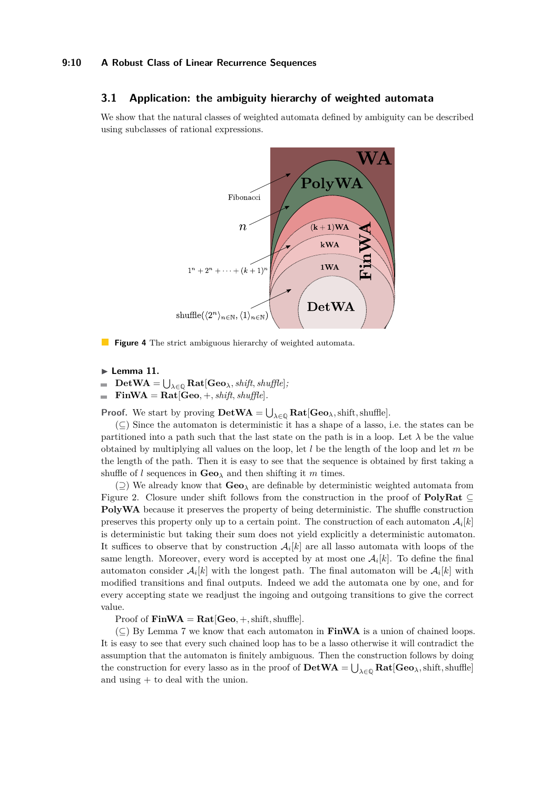### **9:10 A Robust Class of Linear Recurrence Sequences**

### **3.1 Application: the ambiguity hierarchy of weighted automata**

We show that the natural classes of weighted automata defined by ambiguity can be described using subclasses of rational expressions.



**Figure 4** The strict ambiguous hierarchy of weighted automata.

- $\blacktriangleright$  Lemma 11.
- $\blacksquare$  $\mathbf{DetWA} = \bigcup_{\lambda \in \mathbb{Q}} \mathbf{Rat}[\mathbf{Geo}_{\lambda}, \mathit{shift}, \mathit{shuffle}];$
- $\textbf{FinWA} = \textbf{Rat}[\textbf{Geo}, +, shift, shuffle].$  $\blacksquare$

**Proof.** We start by proving  $\textbf{DetWA} = \bigcup_{\lambda \in \mathbb{Q}} \textbf{Rat}[\textbf{Geo}_{\lambda}, \text{shift}, \text{shuffle}].$ 

 $(\subseteq)$  Since the automaton is deterministic it has a shape of a lasso, i.e. the states can be partitioned into a path such that the last state on the path is in a loop. Let  $\lambda$  be the value obtained by multiplying all values on the loop, let *l* be the length of the loop and let *m* be the length of the path. Then it is easy to see that the sequence is obtained by first taking a shuffle of *l* sequences in  $\mathbf{Geo}_{\lambda}$  and then shifting it *m* times.

(⊇) We already know that **Geo***<sup>λ</sup>* are definable by deterministic weighted automata from Figure [2.](#page-5-2) Closure under shift follows from the construction in the proof of **PolyRat** ⊆ **PolyWA** because it preserves the property of being deterministic. The shuffle construction preserves this property only up to a certain point. The construction of each automaton  $\mathcal{A}_i[k]$ is deterministic but taking their sum does not yield explicitly a deterministic automaton. It suffices to observe that by construction  $A_i[k]$  are all lasso automata with loops of the same length. Moreover, every word is accepted by at most one  $A_i[k]$ . To define the final automaton consider  $A_i[k]$  with the longest path. The final automaton will be  $A_i[k]$  with modified transitions and final outputs. Indeed we add the automata one by one, and for every accepting state we readjust the ingoing and outgoing transitions to give the correct value.

Proof of  $\textbf{FinWA} = \textbf{Rat}[\textbf{Geo},+, \text{shift}, \text{shuffle}].$ 

 $(\subseteq)$  By Lemma [7](#page-7-0) we know that each automaton in **FinWA** is a union of chained loops. It is easy to see that every such chained loop has to be a lasso otherwise it will contradict the assumption that the automaton is finitely ambiguous. Then the construction follows by doing the construction for every lasso as in the proof of  $\textbf{DetWA} = \bigcup_{\lambda \in \mathbb{Q}} \textbf{Rat}[\textbf{Geo}_\lambda, \text{shift}, \text{shuffle}]$ and using + to deal with the union.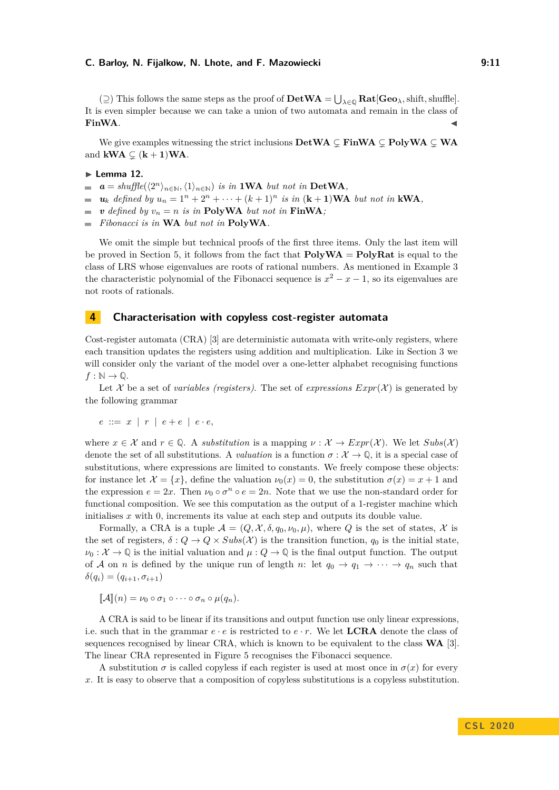$(\supseteq)$  This follows the same steps as the proof of  $\text{DetWA} = \bigcup_{\lambda \in \mathbb{Q}} \text{Rat}[\text{Geo}_{\lambda}, \text{shift}, \text{shuffle}].$ It is even simpler because we can take a union of two automata and remain in the class of **FinWA**.

We give examples witnessing the strict inclusions  $\textbf{DetWA} \subset \textbf{FinWA} \subset \textbf{PolyWA} \subset \textbf{WA}$ and  $kWA \subsetneq (k + 1)WA$ .

#### $\blacktriangleright$  Lemma 12.

- $a = shuffle(\langle 2^n \rangle_{n \in \mathbb{N}}, \langle 1 \rangle_{n \in \mathbb{N}})$  *is in* **1WA** *but not in* DetWA,  $\sim$
- $u_k$  *defined by*  $u_n = 1^n + 2^n + \cdots + (k+1)^n$  *is in*  $(k+1)WA$  *but not in* **kWA**,
- $\bullet$  *v defined by*  $v_n = n$  *is in* **PolyWA** *but not in* **FinWA**;
- *Fibonacci is in* **WA** *but not in* **PolyWA***.*  $\sim$

We omit the simple but technical proofs of the first three items. Only the last item will be proved in Section [5,](#page-13-0) it follows from the fact that **PolyWA** = **PolyRat** is equal to the class of LRS whose eigenvalues are roots of rational numbers. As mentioned in Example [3](#page-3-0) the characteristic polynomial of the Fibonacci sequence is  $x^2 - x - 1$ , so its eigenvalues are not roots of rationals.

# <span id="page-10-0"></span>**4 Characterisation with copyless cost-register automata**

Cost-register automata (CRA) [\[3\]](#page-14-3) are deterministic automata with write-only registers, where each transition updates the registers using addition and multiplication. Like in Section [3](#page-4-0) we will consider only the variant of the model over a one-letter alphabet recognising functions  $f : \mathbb{N} \to \mathbb{Q}$ .

Let X be a set of *variables (registers)*. The set of *expressions*  $Expr(\mathcal{X})$  is generated by the following grammar

$$
e ::= x \mid r \mid e + e \mid e \cdot e,
$$

where  $x \in \mathcal{X}$  and  $r \in \mathbb{Q}$ . A *substitution* is a mapping  $\nu : \mathcal{X} \to \mathit{Expr}(\mathcal{X})$ . We let  $\mathit{Subs}(\mathcal{X})$ denote the set of all substitutions. A *valuation* is a function  $\sigma : \mathcal{X} \to \mathbb{Q}$ , it is a special case of substitutions, where expressions are limited to constants. We freely compose these objects: for instance let  $\mathcal{X} = \{x\}$ , define the valuation  $\nu_0(x) = 0$ , the substitution  $\sigma(x) = x + 1$  and the expression  $e = 2x$ . Then  $\nu_0 \circ \sigma^n \circ e = 2n$ . Note that we use the non-standard order for functional composition. We see this computation as the output of a 1-register machine which initialises *x* with 0, increments its value at each step and outputs its double value.

Formally, a CRA is a tuple  $\mathcal{A} = (Q, \mathcal{X}, \delta, q_0, \nu_0, \mu)$ , where Q is the set of states, X is the set of registers,  $\delta: Q \to Q \times Subs(\mathcal{X})$  is the transition function,  $q_0$  is the initial state,  $\nu_0: \mathcal{X} \to \mathbb{Q}$  is the initial valuation and  $\mu: Q \to \mathbb{Q}$  is the final output function. The output of A on *n* is defined by the unique run of length *n*: let  $q_0 \rightarrow q_1 \rightarrow \cdots \rightarrow q_n$  such that  $\delta(q_i) = (q_{i+1}, \sigma_{i+1})$ 

$$
\llbracket \mathcal{A} \rrbracket(n) = \nu_0 \circ \sigma_1 \circ \cdots \circ \sigma_n \circ \mu(q_n).
$$

A CRA is said to be linear if its transitions and output function use only linear expressions, i.e. such that in the grammar  $e \cdot e$  is restricted to  $e \cdot r$ . We let **LCRA** denote the class of sequences recognised by linear CRA, which is known to be equivalent to the class **WA** [\[3\]](#page-14-3). The linear CRA represented in Figure [5](#page-11-0) recognises the Fibonacci sequence.

A substitution  $\sigma$  is called copyless if each register is used at most once in  $\sigma(x)$  for every *x*. It is easy to observe that a composition of copyless substitutions is a copyless substitution.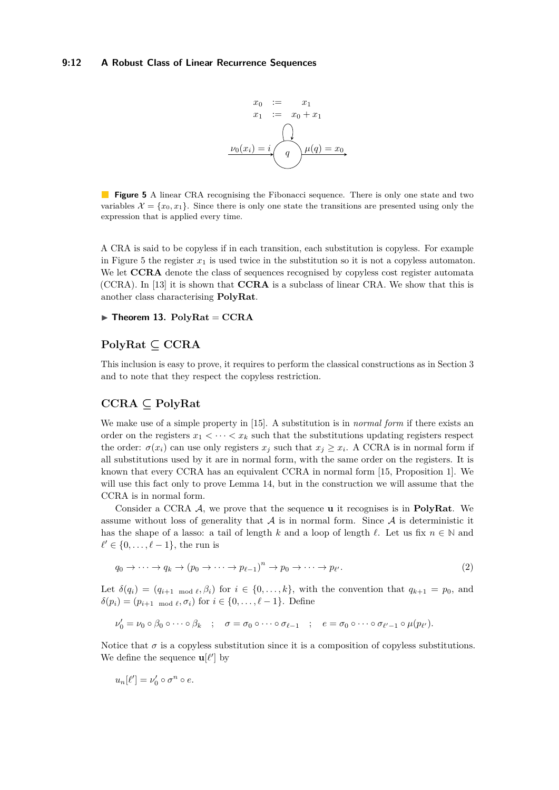

<span id="page-11-0"></span>**Figure 5** A linear CRA recognising the Fibonacci sequence. There is only one state and two variables  $\mathcal{X} = \{x_0, x_1\}$ . Since there is only one state the transitions are presented using only the expression that is applied every time.

A CRA is said to be copyless if in each transition, each substitution is copyless. For example in Figure [5](#page-11-0) the register  $x_1$  is used twice in the substitution so it is not a copyless automaton. We let **CCRA** denote the class of sequences recognised by copyless cost register automata (CCRA). In [\[13\]](#page-14-12) it is shown that **CCRA** is a subclass of linear CRA. We show that this is another class characterising **PolyRat**.

### $\blacktriangleright$  **Theorem 13.**  $\text{PolyRat} = \text{CCRA}$

# **PolyRat ⊆ CCRA**

This inclusion is easy to prove, it requires to perform the classical constructions as in Section [3](#page-4-0) and to note that they respect the copyless restriction.

# **CCRA ⊆ PolyRat**

We make use of a simple property in [\[15\]](#page-14-13). A substitution is in *normal form* if there exists an order on the registers  $x_1 < \cdots < x_k$  such that the substitutions updating registers respect the order:  $\sigma(x_i)$  can use only registers  $x_j$  such that  $x_j \geq x_i$ . A CCRA is in normal form if all substitutions used by it are in normal form, with the same order on the registers. It is known that every CCRA has an equivalent CCRA in normal form [\[15,](#page-14-13) Proposition 1]. We will use this fact only to prove Lemma [14,](#page-12-0) but in the construction we will assume that the CCRA is in normal form.

Consider a CCRA A, we prove that the sequence **u** it recognises is in **PolyRat**. We assume without loss of generality that  $A$  is in normal form. Since  $A$  is deterministic it has the shape of a lasso: a tail of length *k* and a loop of length  $\ell$ . Let us fix  $n \in \mathbb{N}$  and  $\ell' \in \{0, \ldots, \ell - 1\}$ , the run is

$$
q_0 \to \cdots \to q_k \to (p_0 \to \cdots \to p_{\ell-1})^n \to p_0 \to \cdots \to p_{\ell'}.
$$
\n
$$
(2)
$$

Let  $\delta(q_i) = (q_{i+1 \mod \ell}, \beta_i)$  for  $i \in \{0, \ldots, k\}$ , with the convention that  $q_{k+1} = p_0$ , and  $\delta(p_i) = (p_{i+1} \mod \ell, \sigma_i)$  for  $i \in \{0, \ldots, \ell - 1\}$ . Define

$$
\nu'_0 = \nu_0 \circ \beta_0 \circ \cdots \circ \beta_k \quad ; \quad \sigma = \sigma_0 \circ \cdots \circ \sigma_{\ell-1} \quad ; \quad e = \sigma_0 \circ \cdots \circ \sigma_{\ell'-1} \circ \mu(p_{\ell'}).
$$

Notice that  $\sigma$  is a copyless substitution since it is a composition of copyless substitutions. We define the sequence  $\mathbf{u}[\ell']$  by

$$
u_n[\ell']=\nu'_0\circ\sigma^n\circ e.
$$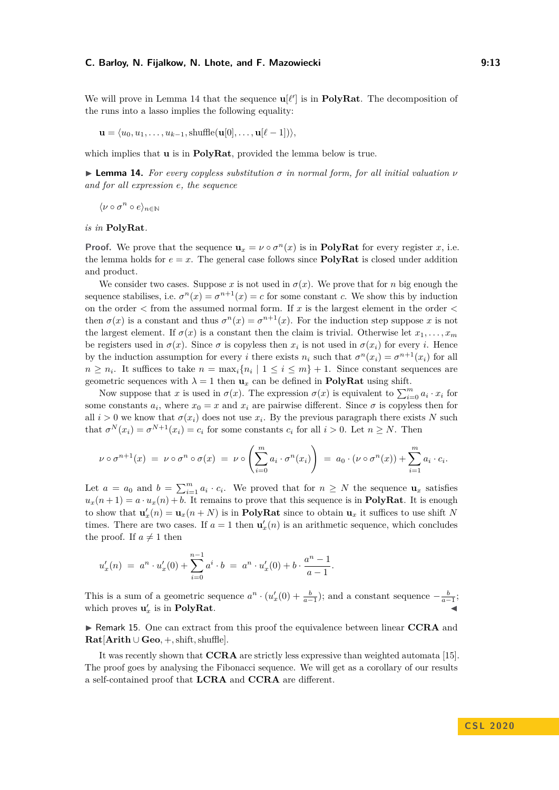$$
\mathbf{u} = \langle u_0, u_1, \dots, u_{k-1}, \text{shuffle}(\mathbf{u}[0], \dots, \mathbf{u}[\ell-1]) \rangle,
$$

which implies that **u** is in **PolyRat**, provided the lemma below is true.

<span id="page-12-0"></span>**Lemma 14.** For every copyless substitution  $\sigma$  in normal form, for all initial valuation  $\nu$ *and for all expression e, the sequence*

 $\langle \nu \circ \sigma^n \circ e \rangle_{n \in \mathbb{N}}$ 

*is in* **PolyRat***.*

**Proof.** We prove that the sequence  $\mathbf{u}_x = \nu \circ \sigma^n(x)$  is in **PolyRat** for every register *x*, i.e. the lemma holds for  $e = x$ . The general case follows since **PolyRat** is closed under addition and product.

We consider two cases. Suppose *x* is not used in  $\sigma(x)$ . We prove that for *n* big enough the sequence stabilises, i.e.  $\sigma^n(x) = \sigma^{n+1}(x) = c$  for some constant *c*. We show this by induction on the order *<* from the assumed normal form. If *x* is the largest element in the order *<* then  $\sigma(x)$  is a constant and thus  $\sigma^{n}(x) = \sigma^{n+1}(x)$ . For the induction step suppose *x* is not the largest element. If  $\sigma(x)$  is a constant then the claim is trivial. Otherwise let  $x_1, \ldots, x_m$ be registers used in  $\sigma(x)$ . Since  $\sigma$  is copyless then  $x_i$  is not used in  $\sigma(x_i)$  for every *i*. Hence by the induction assumption for every *i* there exists  $n_i$  such that  $\sigma^n(x_i) = \sigma^{n+1}(x_i)$  for all  $n \geq n_i$ . It suffices to take  $n = \max_i \{n_i \mid 1 \leq i \leq m\} + 1$ . Since constant sequences are geometric sequences with  $\lambda = 1$  then  $\mathbf{u}_x$  can be defined in **PolyRat** using shift.

Now suppose that *x* is used in  $\sigma(x)$ . The expression  $\sigma(x)$  is equivalent to  $\sum_{i=0}^{m} a_i \cdot x_i$  for some constants  $a_i$ , where  $x_0 = x$  and  $x_i$  are pairwise different. Since  $\sigma$  is copyless then for all  $i > 0$  we know that  $\sigma(x_i)$  does not use  $x_i$ . By the previous paragraph there exists *N* such that  $\sigma^{N}(x_i) = \sigma^{N+1}(x_i) = c_i$  for some constants  $c_i$  for all  $i > 0$ . Let  $n \geq N$ . Then

$$
\nu \circ \sigma^{n+1}(x) = \nu \circ \sigma^n \circ \sigma(x) = \nu \circ \left( \sum_{i=0}^m a_i \cdot \sigma^n(x_i) \right) = a_0 \cdot (\nu \circ \sigma^n(x)) + \sum_{i=1}^m a_i \cdot c_i.
$$

Let  $a = a_0$  and  $b = \sum_{i=1}^m a_i \cdot c_i$ . We proved that for  $n \geq N$  the sequence  $\mathbf{u}_x$  satisfies  $u_x(n+1) = a \cdot u_x(n) + b$ . It remains to prove that this sequence is in **PolyRat**. It is enough to show that  $\mathbf{u}'_x(n) = \mathbf{u}_x(n+N)$  is in **PolyRat** since to obtain  $\mathbf{u}_x$  it suffices to use shift N times. There are two cases. If  $a = 1$  then  $\mathbf{u}'_x(n)$  is an arithmetic sequence, which concludes the proof. If  $a \neq 1$  then

$$
u'_x(n) = a^n \cdot u'_x(0) + \sum_{i=0}^{n-1} a^i \cdot b = a^n \cdot u'_x(0) + b \cdot \frac{a^n - 1}{a - 1}.
$$

This is a sum of a geometric sequence  $a^n \cdot (u'_x(0) + \frac{b}{a-1})$ ; and a constant sequence  $-\frac{b}{a-1}$ ; which proves  $\mathbf{u}'_x$  is in **PolyRat**.

► Remark 15. One can extract from this proof the equivalence between linear CCRA and **Rat**[**Arith** ∪ **Geo***,* +*,*shift*,*shuffle].

It was recently shown that **CCRA** are strictly less expressive than weighted automata [\[15\]](#page-14-13). The proof goes by analysing the Fibonacci sequence. We will get as a corollary of our results a self-contained proof that **LCRA** and **CCRA** are different.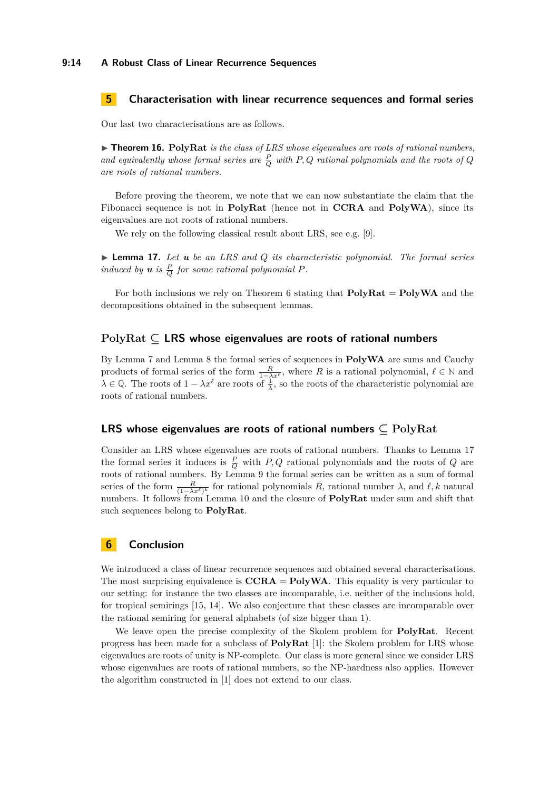# <span id="page-13-0"></span>**5 Characterisation with linear recurrence sequences and formal series**

Our last two characterisations are as follows.

 $\triangleright$  **Theorem 16.** PolyRat *is the class of LRS whose eigenvalues are roots of rational numbers,* and equivalently whose formal series are  $\frac{P}{Q}$  with P, Q rational polynomials and the roots of Q *are roots of rational numbers.*

Before proving the theorem, we note that we can now substantiate the claim that the Fibonacci sequence is not in **PolyRat** (hence not in **CCRA** and **PolyWA**), since its eigenvalues are not roots of rational numbers.

We rely on the following classical result about LRS, see e.g. [\[9\]](#page-14-14).

<span id="page-13-1"></span>I **Lemma 17.** *Let u be an LRS and Q its characteristic polynomial. The formal series induced by*  $u$  *is*  $\frac{P}{Q}$  *for some rational polynomial*  $P$ *.* 

For both inclusions we rely on Theorem [6](#page-5-1) stating that **PolyRat** = **PolyWA** and the decompositions obtained in the subsequent lemmas.

### **PolyRat ⊆ LRS whose eigenvalues are roots of rational numbers**

By Lemma [7](#page-7-0) and Lemma [8](#page-7-1) the formal series of sequences in **PolyWA** are sums and Cauchy products of formal series of the form  $\frac{R}{1-\lambda x^{\ell}}$ , where R is a rational polynomial,  $\ell \in \mathbb{N}$  and  $\lambda \in \mathbb{Q}$ . The roots of  $1 - \lambda x^{\ell}$  are roots of  $\frac{1}{\lambda}$ , so the roots of the characteristic polynomial are roots of rational numbers.

# **LRS whose eigenvalues are roots of rational numbers ⊆ PolyRat**

Consider an LRS whose eigenvalues are roots of rational numbers. Thanks to Lemma [17](#page-13-1) the formal series it induces is  $\frac{P}{Q}$  with *P, Q* rational polynomials and the roots of *Q* are roots of rational numbers. By Lemma [9](#page-8-1) the formal series can be written as a sum of formal series of the form  $\frac{R}{(1-\lambda x^{\ell})^k}$  for rational polynomials *R*, rational number  $\lambda$ , and  $\ell, k$  natural numbers. It follows from Lemma [10](#page-8-0) and the closure of **PolyRat** under sum and shift that such sequences belong to **PolyRat**.

### **6 Conclusion**

We introduced a class of linear recurrence sequences and obtained several characterisations. The most surprising equivalence is  $CCHA = PolyWA$ . This equality is very particular to our setting: for instance the two classes are incomparable, i.e. neither of the inclusions hold, for tropical semirings [\[15,](#page-14-13) [14\]](#page-14-15). We also conjecture that these classes are incomparable over the rational semiring for general alphabets (of size bigger than 1).

We leave open the precise complexity of the Skolem problem for **PolyRat**. Recent progress has been made for a subclass of **PolyRat** [\[1\]](#page-14-7): the Skolem problem for LRS whose eigenvalues are roots of unity is NP-complete. Our class is more general since we consider LRS whose eigenvalues are roots of rational numbers, so the NP-hardness also applies. However the algorithm constructed in [\[1\]](#page-14-7) does not extend to our class.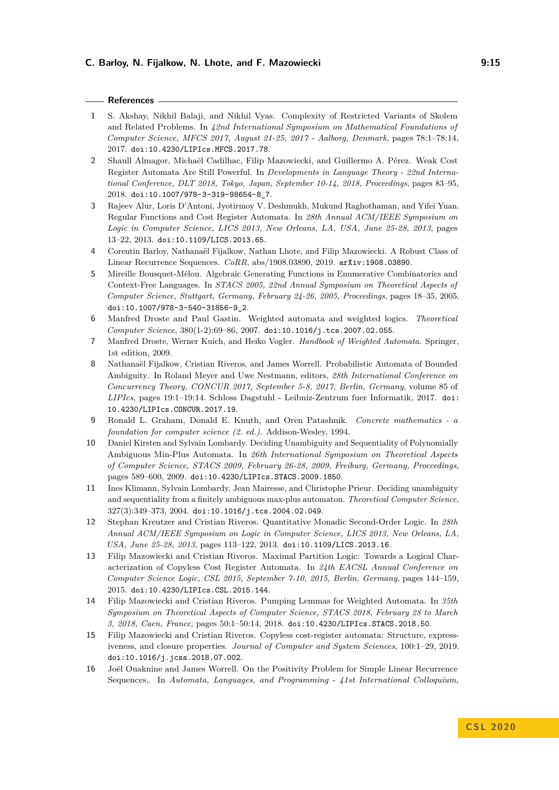### **References**

- <span id="page-14-7"></span>**1** S. Akshay, Nikhil Balaji, and Nikhil Vyas. Complexity of Restricted Variants of Skolem and Related Problems. In *42nd International Symposium on Mathematical Foundations of Computer Science, MFCS 2017, August 21-25, 2017 - Aalborg, Denmark*, pages 78:1–78:14, 2017. [doi:10.4230/LIPIcs.MFCS.2017.78](https://doi.org/10.4230/LIPIcs.MFCS.2017.78).
- <span id="page-14-11"></span>**2** Shaull Almagor, Michaël Cadilhac, Filip Mazowiecki, and Guillermo A. Pérez. Weak Cost Register Automata Are Still Powerful. In *Developments in Language Theory - 22nd International Conference, DLT 2018, Tokyo, Japan, September 10-14, 2018, Proceedings*, pages 83–95, 2018. [doi:10.1007/978-3-319-98654-8\\_7](https://doi.org/10.1007/978-3-319-98654-8_7).
- <span id="page-14-3"></span>**3** Rajeev Alur, Loris D'Antoni, Jyotirmoy V. Deshmukh, Mukund Raghothaman, and Yifei Yuan. Regular Functions and Cost Register Automata. In *28th Annual ACM/IEEE Symposium on Logic in Computer Science, LICS 2013, New Orleans, LA, USA, June 25-28, 2013*, pages 13–22, 2013. [doi:10.1109/LICS.2013.65](https://doi.org/10.1109/LICS.2013.65).
- <span id="page-14-0"></span>**4** Corentin Barloy, Nathanaël Fijalkow, Nathan Lhote, and Filip Mazowiecki. A Robust Class of Linear Recurrence Sequences. *CoRR*, abs/1908.03890, 2019. [arXiv:1908.03890](http://arxiv.org/abs/1908.03890).
- <span id="page-14-4"></span>**5** Mireille Bousquet-Mélou. Algebraic Generating Functions in Enumerative Combinatorics and Context-Free Languages. In *STACS 2005, 22nd Annual Symposium on Theoretical Aspects of Computer Science, Stuttgart, Germany, February 24-26, 2005, Proceedings*, pages 18–35, 2005. [doi:10.1007/978-3-540-31856-9\\_2](https://doi.org/10.1007/978-3-540-31856-9_2).
- <span id="page-14-1"></span>**6** Manfred Droste and Paul Gastin. Weighted automata and weighted logics. *Theoretical Computer Science*, 380(1-2):69–86, 2007. [doi:10.1016/j.tcs.2007.02.055](https://doi.org/10.1016/j.tcs.2007.02.055).
- <span id="page-14-5"></span>**7** Manfred Droste, Werner Kuich, and Heiko Vogler. *Handbook of Weighted Automata*. Springer, 1st edition, 2009.
- <span id="page-14-10"></span>**8** Nathanaël Fijalkow, Cristian Riveros, and James Worrell. Probabilistic Automata of Bounded Ambiguity. In Roland Meyer and Uwe Nestmann, editors, *28th International Conference on Concurrency Theory, CONCUR 2017, September 5-8, 2017, Berlin, Germany*, volume 85 of *LIPIcs*, pages 19:1–19:14. Schloss Dagstuhl - Leibniz-Zentrum fuer Informatik, 2017. [doi:](https://doi.org/10.4230/LIPIcs.CONCUR.2017.19) [10.4230/LIPIcs.CONCUR.2017.19](https://doi.org/10.4230/LIPIcs.CONCUR.2017.19).
- <span id="page-14-14"></span>**9** Ronald L. Graham, Donald E. Knuth, and Oren Patashnik. *Concrete mathematics - a foundation for computer science (2. ed.)*. Addison-Wesley, 1994.
- <span id="page-14-9"></span>**10** Daniel Kirsten and Sylvain Lombardy. Deciding Unambiguity and Sequentiality of Polynomially Ambiguous Min-Plus Automata. In *26th International Symposium on Theoretical Aspects of Computer Science, STACS 2009, February 26-28, 2009, Freiburg, Germany, Proceedings*, pages 589–600, 2009. [doi:10.4230/LIPIcs.STACS.2009.1850](https://doi.org/10.4230/LIPIcs.STACS.2009.1850).
- <span id="page-14-8"></span>**11** Ines Klimann, Sylvain Lombardy, Jean Mairesse, and Christophe Prieur. Deciding unambiguity and sequentiality from a finitely ambiguous max-plus automaton. *Theoretical Computer Science*, 327(3):349–373, 2004. [doi:10.1016/j.tcs.2004.02.049](https://doi.org/10.1016/j.tcs.2004.02.049).
- <span id="page-14-2"></span>**12** Stephan Kreutzer and Cristian Riveros. Quantitative Monadic Second-Order Logic. In *28th Annual ACM/IEEE Symposium on Logic in Computer Science, LICS 2013, New Orleans, LA, USA, June 25-28, 2013*, pages 113–122, 2013. [doi:10.1109/LICS.2013.16](https://doi.org/10.1109/LICS.2013.16).
- <span id="page-14-12"></span>**13** Filip Mazowiecki and Cristian Riveros. Maximal Partition Logic: Towards a Logical Characterization of Copyless Cost Register Automata. In *24th EACSL Annual Conference on Computer Science Logic, CSL 2015, September 7-10, 2015, Berlin, Germany*, pages 144–159, 2015. [doi:10.4230/LIPIcs.CSL.2015.144](https://doi.org/10.4230/LIPIcs.CSL.2015.144).
- <span id="page-14-15"></span>**14** Filip Mazowiecki and Cristian Riveros. Pumping Lemmas for Weighted Automata. In *35th Symposium on Theoretical Aspects of Computer Science, STACS 2018, February 28 to March 3, 2018, Caen, France*, pages 50:1–50:14, 2018. [doi:10.4230/LIPIcs.STACS.2018.50](https://doi.org/10.4230/LIPIcs.STACS.2018.50).
- <span id="page-14-13"></span>**15** Filip Mazowiecki and Cristian Riveros. Copyless cost-register automata: Structure, expressiveness, and closure properties. *Journal of Computer and System Sciences*, 100:1–29, 2019. [doi:10.1016/j.jcss.2018.07.002](https://doi.org/10.1016/j.jcss.2018.07.002).
- <span id="page-14-6"></span>**16** Joël Ouaknine and James Worrell. On the Positivity Problem for Simple Linear Recurrence Sequences,. In *Automata, Languages, and Programming - 41st International Colloquium,*